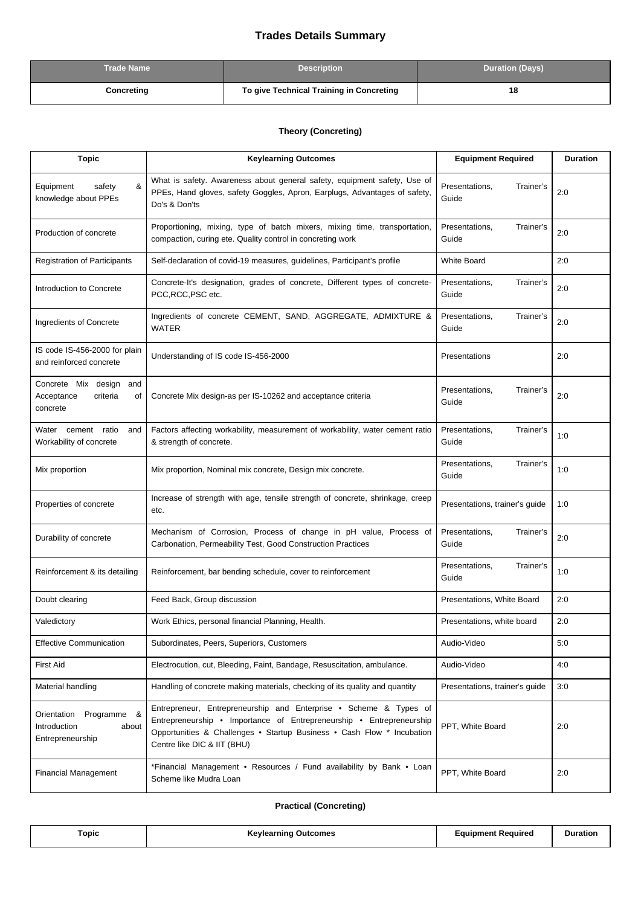## **Trades Details Summary**

| <b>Trade Name</b> | <b>Description</b>                       | <b>Duration (Days)</b> |
|-------------------|------------------------------------------|------------------------|
| Concreting        | To give Technical Training in Concreting | 18                     |

## **Theory (Concreting)**

| <b>Topic</b>                                                            | <b>Keylearning Outcomes</b>                                                                                                                                                                                                                        | <b>Equipment Required</b>            | <b>Duration</b> |
|-------------------------------------------------------------------------|----------------------------------------------------------------------------------------------------------------------------------------------------------------------------------------------------------------------------------------------------|--------------------------------------|-----------------|
| &<br>Equipment<br>safety<br>knowledge about PPEs                        | What is safety. Awareness about general safety, equipment safety, Use of<br>PPEs, Hand gloves, safety Goggles, Apron, Earplugs, Advantages of safety,<br>Do's & Don'ts                                                                             | Presentations,<br>Trainer's<br>Guide | 2:0             |
| Production of concrete                                                  | Proportioning, mixing, type of batch mixers, mixing time, transportation,<br>compaction, curing ete. Quality control in concreting work                                                                                                            | Presentations,<br>Trainer's<br>Guide | 2:0             |
| <b>Registration of Participants</b>                                     | Self-declaration of covid-19 measures, guidelines, Participant's profile                                                                                                                                                                           | <b>White Board</b>                   | 2:0             |
| Introduction to Concrete                                                | Concrete-It's designation, grades of concrete, Different types of concrete-<br>PCC,RCC,PSC etc.                                                                                                                                                    | Presentations,<br>Trainer's<br>Guide | 2:0             |
| Ingredients of Concrete                                                 | Ingredients of concrete CEMENT, SAND, AGGREGATE, ADMIXTURE &<br><b>WATER</b>                                                                                                                                                                       | Presentations,<br>Trainer's<br>Guide | 2:0             |
| IS code IS-456-2000 for plain<br>and reinforced concrete                | Understanding of IS code IS-456-2000                                                                                                                                                                                                               | Presentations                        | 2:0             |
| Concrete Mix design<br>and<br>criteria<br>Acceptance<br>οf<br>concrete  | Concrete Mix design-as per IS-10262 and acceptance criteria                                                                                                                                                                                        | Presentations,<br>Trainer's<br>Guide | 2:0             |
| Water cement<br>ratio<br>and<br>Workability of concrete                 | Factors affecting workability, measurement of workability, water cement ratio<br>& strength of concrete.                                                                                                                                           | Presentations,<br>Trainer's<br>Guide | 1:0             |
| Mix proportion                                                          | Mix proportion, Nominal mix concrete, Design mix concrete.                                                                                                                                                                                         | Presentations,<br>Trainer's<br>Guide | 1:0             |
| Properties of concrete                                                  | Increase of strength with age, tensile strength of concrete, shrinkage, creep<br>etc.                                                                                                                                                              | Presentations, trainer's guide       | 1:0             |
| Durability of concrete                                                  | Mechanism of Corrosion, Process of change in pH value, Process of<br>Carbonation, Permeability Test, Good Construction Practices                                                                                                                   | Presentations,<br>Trainer's<br>Guide | 2:0             |
| Reinforcement & its detailing                                           | Reinforcement, bar bending schedule, cover to reinforcement                                                                                                                                                                                        | Presentations,<br>Trainer's<br>Guide | 1:0             |
| Doubt clearing                                                          | Feed Back, Group discussion                                                                                                                                                                                                                        | Presentations, White Board           | 2:0             |
| Valedictory                                                             | Work Ethics, personal financial Planning, Health.                                                                                                                                                                                                  | Presentations, white board           | 2:0             |
| <b>Effective Communication</b>                                          | Subordinates, Peers, Superiors, Customers                                                                                                                                                                                                          | Audio-Video                          | 5:0             |
| <b>First Aid</b>                                                        | Electrocution, cut, Bleeding, Faint, Bandage, Resuscitation, ambulance.                                                                                                                                                                            | Audio-Video                          | 4:0             |
| Material handling                                                       | Handling of concrete making materials, checking of its quality and quantity                                                                                                                                                                        | Presentations, trainer's guide       | 3:0             |
| Programme &<br>Orientation<br>Introduction<br>about<br>Entrepreneurship | Entrepreneur, Entrepreneurship and Enterprise • Scheme & Types of<br>Entrepreneurship • Importance of Entrepreneurship • Entrepreneurship<br>Opportunities & Challenges . Startup Business . Cash Flow * Incubation<br>Centre like DIC & IIT (BHU) | PPT, White Board                     | 2:0             |
| <b>Financial Management</b>                                             | *Financial Management • Resources / Fund availability by Bank • Loan<br>Scheme like Mudra Loan                                                                                                                                                     | PPT, White Board                     | 2:0             |

## **Practical (Concreting)**

| Topic | ∍vlearninɑ<br>Outcomes<br>--------- | Equipment Required | Duration<br>. |
|-------|-------------------------------------|--------------------|---------------|
|       |                                     |                    |               |